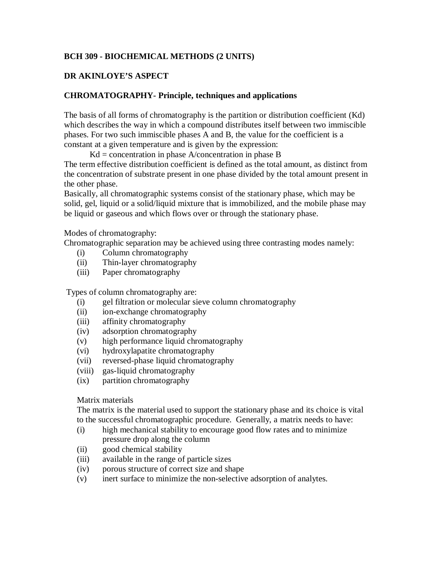### **BCH 309 - BIOCHEMICAL METHODS (2 UNITS)**

## **DR AKINLOYE'S ASPECT**

### **CHROMATOGRAPHY- Principle, techniques and applications**

The basis of all forms of chromatography is the partition or distribution coefficient (Kd) which describes the way in which a compound distributes itself between two immiscible phases. For two such immiscible phases A and B, the value for the coefficient is a constant at a given temperature and is given by the expression:

 $Kd =$  concentration in phase A/concentration in phase B

The term effective distribution coefficient is defined as the total amount, as distinct from the concentration of substrate present in one phase divided by the total amount present in the other phase.

Basically, all chromatographic systems consist of the stationary phase, which may be solid, gel, liquid or a solid/liquid mixture that is immobilized, and the mobile phase may be liquid or gaseous and which flows over or through the stationary phase.

Modes of chromatography:

Chromatographic separation may be achieved using three contrasting modes namely:

- (i) Column chromatography
- (ii) Thin-layer chromatography
- (iii) Paper chromatography

Types of column chromatography are:

- (i) gel filtration or molecular sieve column chromatography
- (ii) ion-exchange chromatography
- (iii) affinity chromatography
- (iv) adsorption chromatography
- (v) high performance liquid chromatography
- (vi) hydroxylapatite chromatography
- (vii) reversed-phase liquid chromatography
- (viii) gas-liquid chromatography
- (ix) partition chromatography

#### Matrix materials

The matrix is the material used to support the stationary phase and its choice is vital to the successful chromatographic procedure. Generally, a matrix needs to have:

- (i) high mechanical stability to encourage good flow rates and to minimize pressure drop along the column
- (ii) good chemical stability
- (iii) available in the range of particle sizes
- (iv) porous structure of correct size and shape
- (v) inert surface to minimize the non-selective adsorption of analytes.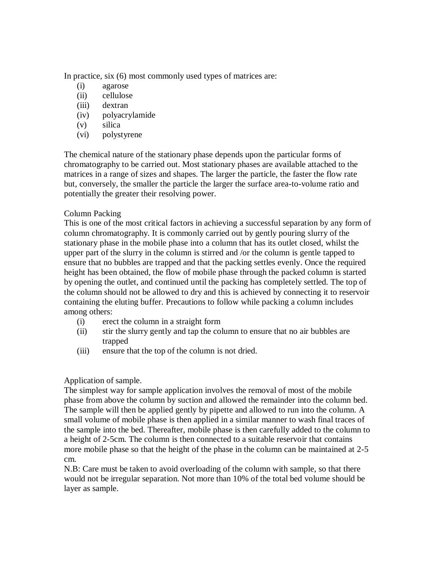In practice, six (6) most commonly used types of matrices are:

- (i) agarose
- (ii) cellulose
- (iii) dextran
- (iv) polyacrylamide
- (v) silica
- (vi) polystyrene

The chemical nature of the stationary phase depends upon the particular forms of chromatography to be carried out. Most stationary phases are available attached to the matrices in a range of sizes and shapes. The larger the particle, the faster the flow rate but, conversely, the smaller the particle the larger the surface area-to-volume ratio and potentially the greater their resolving power.

## Column Packing

This is one of the most critical factors in achieving a successful separation by any form of column chromatography. It is commonly carried out by gently pouring slurry of the stationary phase in the mobile phase into a column that has its outlet closed, whilst the upper part of the slurry in the column is stirred and /or the column is gentle tapped to ensure that no bubbles are trapped and that the packing settles evenly. Once the required height has been obtained, the flow of mobile phase through the packed column is started by opening the outlet, and continued until the packing has completely settled. The top of the column should not be allowed to dry and this is achieved by connecting it to reservoir containing the eluting buffer. Precautions to follow while packing a column includes among others:

- (i) erect the column in a straight form
- (ii) stir the slurry gently and tap the column to ensure that no air bubbles are trapped
- (iii) ensure that the top of the column is not dried.

# Application of sample.

The simplest way for sample application involves the removal of most of the mobile phase from above the column by suction and allowed the remainder into the column bed. The sample will then be applied gently by pipette and allowed to run into the column. A small volume of mobile phase is then applied in a similar manner to wash final traces of the sample into the bed. Thereafter, mobile phase is then carefully added to the column to a height of 2-5cm. The column is then connected to a suitable reservoir that contains more mobile phase so that the height of the phase in the column can be maintained at 2-5 cm.

N.B: Care must be taken to avoid overloading of the column with sample, so that there would not be irregular separation. Not more than 10% of the total bed volume should be layer as sample.